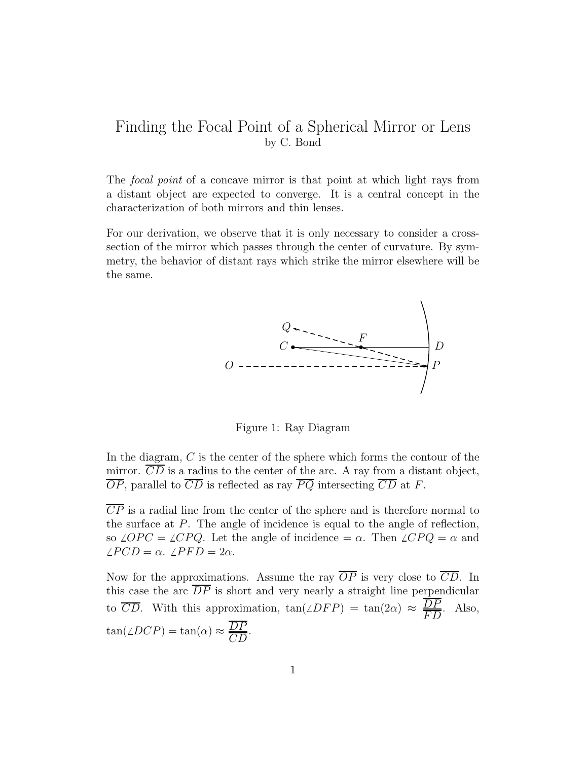## Finding the Focal Point of a Spherical Mirror or Lens by C. Bond

The focal point of a concave mirror is that point at which light rays from a distant object are expected to converge. It is a central concept in the characterization of both mirrors and thin lenses.

For our derivation, we observe that it is only necessary to consider a crosssection of the mirror which passes through the center of curvature. By symmetry, the behavior of distant rays which strike the mirror elsewhere will be the same.



Figure 1: Ray Diagram

In the diagram, C is the center of the sphere which forms the contour of the mirror.  $\overline{CD}$  is a radius to the center of the arc. A ray from a distant object,  $\overline{OP}$ , parallel to  $\overline{CD}$  is reflected as ray  $\overline{PQ}$  intersecting  $\overline{CD}$  at F.

 $\overline{CP}$  is a radial line from the center of the sphere and is therefore normal to the surface at P. The angle of incidence is equal to the angle of reflection, so  $\angle OPC = \angle CPQ$ . Let the angle of incidence =  $\alpha$ . Then  $\angle CPQ = \alpha$  and  $\angle PCD = \alpha$ .  $\angle PFD = 2\alpha$ .

Now for the approximations. Assume the ray  $\overline{OP}$  is very close to  $\overline{CD}$ . In this case the arc  $\overline{DP}$  is short and very nearly a straight line perpendicular to  $\overline{CD}$ . With this approximation,  $\tan(\angle DFP) = \tan(2\alpha) \approx \frac{DP}{FD}$ . Also,  $tan(\angle DCP) = tan(\alpha) \approx \frac{DP}{CD}.$